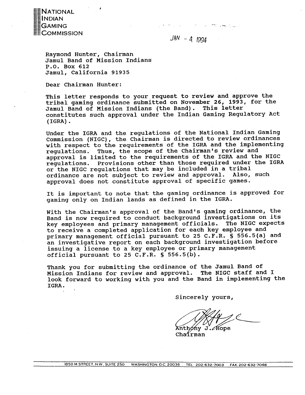

 $JAN - 4 1994$ 

Raymond Hunter, chairman Jamul Band of Mission Indians P.O. Box 612 Jamul, California 91935

Dear Chairman Hunter:

This letter responds to your request to review and approve the tribal gaming ordinance submitted on November 26, 1993, for the Jamul Band of Mission Indians (the Band). This letter constitutes such approval under the Indian Gaming Regulatory Act (IGRA) .

Under the IGRA and the regulations of the National Indian Gaming Commission (NIGC), the chairman is directed to review ordinances with respect to the requirements of the IGRA and the implementing regulations. Thus, the scope of the Chairman's review and approval is limited to the requirements of the IGRA and the NIGC regulations. Provisions other than those required under the IGRA or the NIGC regulations that may be included in a tribal<br>ordinance are not subject to review and approval. Also, such ordinance are not subject to review and approval. approval does not constitute approval of specific games.

It is important to note that the gaming ordinance is approved for gaming only on Indian lands as defined in the IGRA.

With the Chairman's approval of the Band's gaming ordinance, the Band is now required to conduct background investigations on its key employees and primary management officials. The NIGC expects to receive a completed application for each key employee and primary management official pursuant to 25 C.F.R. § 556.5(a) and an investigative report on each background investigation before issuing a license to a key employee or primary management official pursuant to 25 C.F.R. § 556.5(b).

Thank you for submitting the ordinance of the Jamul Band of Mission Indians for review and approval. The NIGC staff and I look forward to working with you and the Band in implementing the IGRA.

sincerely yours,

Anthony J. Hope

ChaÍrman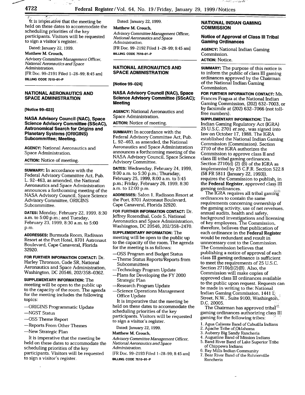

 $\frac{1}{\sqrt{1-\frac{1}{2}}}\frac{1}{\sqrt{1-\frac{1}{2}}}\frac{1}{\sqrt{1-\frac{1}{2}}}\frac{1}{\sqrt{1-\frac{1}{2}}}\frac{1}{\sqrt{1-\frac{1}{2}}}\frac{1}{\sqrt{1-\frac{1}{2}}}\frac{1}{\sqrt{1-\frac{1}{2}}}\frac{1}{\sqrt{1-\frac{1}{2}}}\frac{1}{\sqrt{1-\frac{1}{2}}}\frac{1}{\sqrt{1-\frac{1}{2}}}\frac{1}{\sqrt{1-\frac{1}{2}}}\frac{1}{\sqrt{1-\frac{1}{2}}}\frac{1}{\sqrt{1-\frac{1}{2}}}\frac{1}{\sqrt{1-\frac{$ 

ft is imperative that the meeting **be** Dated: January 22, 1999. **NATIONAL INDIAN GAMING**  held on these dates to accommodate the **Matthew M. Crouch, COMMISSION COMMISSION COMMISSION** scheduling priorities of the key *Advisory Committee Management Officer,* participants. Visitors will be requested *National Aeronautics and Space* **Notice of Approval of Class 111 Tribal**  to sign a visitor's register. **Administration.** 

Dated: January 22, 1999.

**Matthew M.** Crouch,

*Advisory Committee Management Officer, National Aeronautics and Space Administration. [FR* Doc. 99-2191 Filed 1-28-99; 8:45 am] **BILLING CODE 7510-01-P** 

**NATIONAL AERONAUTICS AND SPACE ADMINISTRATION** 

**[Notice 99-0231** 

**NASA Advisory Council (NAC), Space Science Advisory Committee (SScAC), Astronomical Search for Origins and Planetary Systems (ORIGINS) Subcommittee; Meeting.** 

**AGENCY:** National Aeronautics and Space Administration.

**ACTION:** Notice of meeting.

**SUMMARY:** In accordance with the Federal Advisory Committee Act. Pub. L. 92-463, as amended, the National Aeronautics and Space Administration announces a forthcoming meeting of the NASA Advisory Council, Space Science Advisory Committee, ORIGINS Subcommittee.

**DATES:** Monday, February 22. 1999.8:30 a.m. to 5:00 p.m.; and Tuesday. February 23, 1999. 8:30 a.m. to 5:00 p.m.

**ADDRESSES:** Burmuda Room, Radisson Resort at the Port Hotel, 8701 Astronaut Boulevard, Cape Canaveral, Florida 32920.

**FOR FURTHER INFORMATION CONTACT:** Dr. Harley Thronson, Code SR, National Aeronautics and Space Administration, Washington, DC 20546, 2021358-0362.

**SUPPLEMENTARY INFORMATION:** The meeting will be open to the public up to the capacity of the room. The agenda for the meeting includes the following topics:

- -ORIGINS Programmatic Update
- -NGST Status
- -0SS Theme Report
- -Reports From Other Themes
- -New Strategic Plan

It is imperative that the meeting be held on these dates to accommodate the scheduling priorities of the key participants. Visitors will be requested to sign a visitor's register.

[FR Doc. 99-2192 Filed 1-28-99; 8:45 am] **BILLING CODE 7510-01-P** 

#### **NATIONAL AERONAUTICS AND SPACE ADMINISTRATION**

**[Notice 99-0241** 

#### **NASA Advisory Council (NAC), Space Science Advisory Committee (SScAC); Meeting**

**AGENCY:** National Aeronautics and Space Administration.

**ACTION:** Notice of meeting.

**SUMMARY:** In accordance with the Federal Advisory Committee Act, Pub. L. 92-463. as amended. the National Aeronautics and Space Administration announces a forthcoming meeting of the NASA Advisory Council, Space Science Advisory Committee.

**DATES:** Wednesday, February 24, 1999, 9:00 a.m. to 5:30 p.m.; Thursday. February 25. 1999, 8:00 a.m. to 5:45 p.m.; Friday, February 26, 1999, 8:30 a.m. to 12:OO p.m.

**ADDRESSES:** Salon 1, Radisson Resort at the Port, 8701 Astronaut Boulevard, Cape Canaveral. Florida 32920.

**FOR FURTHER INFORMATION CONTACT:** Dr. Jeffrey Rosendhal. Code S, National Aeronautics and Space Administration, Washington, DC 20546,202/358-2470.

**SUPPLEMENTARY INFORMATION:** The meeting will be open to the public up to the capacity of the room. The agenda for the meeting is as follows:

- -0SS Program and Budget Status
- -Theme Status Reports/Reports from Subcommittees
- -Technology Program Update
- -Plans for Developing the FY 2000 Strategic Plan
- -Research Program Update
- -Science Operations Management Office Update

It is imperative that the meeting be held on these dates to accommodate the scheduling priorities of the key participants. Visitors will be requested to sign a visitor's register.

Dated: January 22, 1999.

#### **Matthew** M. Crouch,

*Advisory Committee Management Officer. National Aeronautics and Space Administration.* 

[FR Doc. 99-2193 Filed 1-28-99; 8:45 am] **BILLING** CODE **751 0-01-P** 

**AGENCY:** National Indian Gaming Commission. **ACTION:** Notice.

**SUMMARY:** The purpose of this notice is to inform the public of class III gaming ordinances approved by the Chairman of the National Indian Gaming Commission.

**FOR FURTHER INFORMATION CONTACT:** Ms. Frances Fragua at the National Indian Gaming Commission. (202) 632-7003, or by facsimile at (202) 632-7066 (not tollfree numbers).

**SUPPLEMENTARY INFORMATION:** The Indian Gaming Regulatory Act (IGRA) 25 U.S.C. 2701 et seq., was signed into law on October 17, 1988. The IGRA established the National Indian Gaming Commission (Commission). Section 2710 of the IGRA authorizes the Commission to approve class 11 and class 111 tribal gaming ordinances. Section 2710(d) (2) (B) of the IGRA **as**  implemented by 25 C.F.R. Section 522.8 (58 FR 581 1 Uanuary 22. 1993)). requires the Commission to publish, in the Federal Register, approved class III gaming ordinances.

The IGRA requires all tribal gaming ordinances to contain the same requirements concerning ownership of the gaming activity, use of net revenues, annual audits, health and safety, background investigations and licensing of key employees. The Commission. therefore, believes that publication of each ordinance in the Federal Register would be redundant and result in unnecessary cost to the Commission. The Commission believes that publishing a notice of approval of each class 111 gaming ordinance is sufficient to meet the requirements of 25 U.S.C. Section  $2710(d)(2)(B)$ . Also, the Commission will make copies of approved class I11 ordinances available to the public upon request. Requests can be made in writing to the: National Indian Gaming Commission, 1441 L Street. N.W., Suite 9100. Washington, D.C. 20005.

The Chairman has approved triba<sup>'i g</sup> gaming ordinances authorizing class III gaming for the following tribes:

- 1. Agua Caliente Band *of* **Cahuilla** Indians
- *2.* Apache Tribe of-Oklahoma
- **3.** Aubeny Big Sandy Rancheria
- 4. Augustine Band of Mission Indians
- 5. Band River Band of Lake Superior Tribe of Chippewa Indians
- 6. Bay Mills Indian Community
- 7. Bear River Band of the Rohnerville Rancheria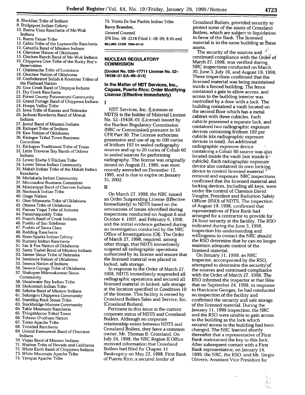- 
- 
- 
- 
- 
- 13. Cahuilla Band of Mission Indians<br>14. Cherokee Nation of Oklahoma
- 
- 
- 
- 17. Chitimacha Tribe of Louisiana
- 18. Choctaw Nation of Oklahoma
- **19.** Confederated Salish & Kootenai Tribes of the Flathead Nation
- 20. Cow Creek Band of Umpqua Indians
- 2 1. **Dry** Creek Rancheria
- 22. Forest County Potawatomi Community
- 23. Grand Portage Band of Chippewa Indians
- 24. Hoopa Valley Tribe
- 25. Iowa Tribe of Kansas and Nebraska
- 26. Jackson Rancheria Band of Miwuk Indians
- 27. Jamul Band of Mission Indians
- 28. Kalispel Tribe of Indians
- 29. Kaw Nation of Oklahoma
- 30. Kialegee Tribal Town Business Committee
- 3 **1.** Kickapoo Traditional Tribe of Texas 32. Little Traverse Bay Bands of Odawa Indians
- 33. Lower Elwha S'Klallam Tribe
- 34. Lower Sioux Indian Community
- 35. Makah Indian Tribe of the Makah Indian Rancheria
- 36. Metlakatla Indian Community
- 37. Miccosukee Business Committee
- 38. Mississippi Band of Choctaw Indians
- 39. Nooksack Indian Tribe
- 40. Osage Nation
- 4 1. Otoe-Missouria Tribe of Oklahoma
- 42. Ottawa Tribe of Oklahoma
- 43. Pascua Yaqui Tribe of Arizona
- 44. Passamaquoddy Tribe
- 45. Poarch Band of Creek Indians
- 46. Pueblo of San Ildefonso
- 47. Pueblo of Santa Clara
- 48. Redding Rancheria
- 49. Reno-Sparks Indian Colony
- 50. Rumsey Indian Rancheria
- 5 1. Sac & Fox Nation of Oklahoma
- 52. Santa Ysabel Band of Mission Indians
- 53. Santee Sioux Tribe of Nebraska
- 54. Seminole Nation of Oklahoma
- 55. Seneca Nation of Indians
- 56. Seneca-Cayuga Tribe of Oklahoma 57. Shakopee Mdewakanton Sioux
- **Community**
- 58. Shoalwater Bay Indian Tribe
- 59. Skokomish Indian Tribe
- 60. Soboba Band of Mission Indians
- 6 1. Sokaogon Chippewa Community
- 62. Standing Rock Sioux Tribe
- 63. Stockbridge-Munsee Community
- 64. Table Mountain Rancheria
- 65. Thlopthlocco Tribal Town
- 66. Tohono O'odharn Nation
- 67. Tonto Apache Tribe
- 68. Trinidad Rancheria
- 69. United Keetoowah Band of Cherokee Indians
- 70. Viejas Band of Mission Indians
- 71. Washoe Tribe of Nevada and California
- 72. White Earth Band of Chippewa Indians
- 73. White Mountain Apache Tribe
- 74. Yavapai Apache Tribe

12. Cahto Tribe of the Laytonville Rancheria **BILLING CODE 7565-01-U** material is in the same building assets.<br>13. Cahuilla Band of Mission Indians

[Docket No. 030-1 771 1 **License** No. **52-**  19438-01 EA-99-014]

#### **In the Matter of NDT Services, Inc., Caguas, Puerto Rico; Order Modifying License (Effective Immediately)**

**I** 

NDT Services, Inc. (Licensee or NDTS) is the holder of Material License No. 52-19438-01 (License) issued by the Nuclear Regulatory Commission (NRC or Commission) pursuant to 10 CFR Part 30. The License authorizes possession and use of up to 100 curies of Iridium 192 in sealed radiography sources and up to 20 curies of Cobalt 60 in sealed sources for performing radiography. The license was originally issued on August 21, 1980, was most recently amended on December 12. 1995, and is due to expire on January 31. 2002.

**I1** 

On March 27, 1998, the NRC issued an Order Suspending License (Effective Immediately) to NDTS based on the seriousness of issues identified during inspections conducted on August 6 and October 4, 1997, and February 6, 1998, and the initial evidence gathered during an investigation conducted by the NRC Office of Investigations (01). The Order of March 27, 1998, required, among other things, that NDTS immediately suspend all radiographic operations authorized by its license and ensure that the licensed material was placed in locked, safe storage.

In response to the Order of March 27, 1998. NDTS immediately suspended all radiographic operations and secured all licensed material in locked, safe storage at the location specified in Condition 10 of the license. This facility is owned by Crossland Boilers Sales and Service, Inc. (Crossland Boilers).

Pertinent to this issue is the current corporate status of NDTS and Crossland Boilers. Although no corporate relationship exists between NDTS and Crossland Boilers, they have a common owner, Mr. Thomas B. Crossland. On July 24, 1998, the NRC Region I1 Office received information that Crossland Boilers had filed for Chapter 11 Bankruptcy on May 22, 1998. First Bank of Puerto Rico, a secured lender of

8. Blackfeet Tribe of Indians 75. Ysleta De Sur Pueblo Indian Tribe Crossland Boilers, provided security to 3. Bridgeport Indian Colony 9. Bridgeport Indian Colony **Barry Brandon,** protect some of the assets of Crossland<br>10. Buena Vista Rancheria of Me-Wuk General Counsel. Boilers, which are subject to liquidation<br>11. Burns Paiute Tribe [FR Doc. 99–2218 Fi **1. In favor of the Bank. The licensed material is in the same building as these** 

14. Cherokee Nation of Oklahoma **The Security of the sources and intervention of Oklahoma** The security of the sources and intervention of Oklahoma The Security of the sources and intervention of Oklahoma **The Security of** 15. Chicken Ranch Band of Me-Wuk Indians **NUCLEAR REGULATORY** continued compliance with the Order<sup>i</sup> of the Compliance with the Order<sup>i</sup> of the Compliance with the Order<sup>i</sup> of the Compliance with the Orderi of the Rocky Bo 16. Chippewa Cree Tribe of the Rocky Boy's **COMMISSION COMMISSION** March 27, 1998, was verified during **COMMISSION** NRC inspections conducted on March 30. June 3. July 16. and August 19. 1998. These inspections confirmed that the licensed material was being maintained inside a fenced building. The fence contained a gate to allow access, and access to the building interior was controlled by a door with a lock. The building contained a vault located on the second floor which has a metal cabinet with three cubicles. Each cubicle possessed a separate lock, and contained two radiographic exposure devices containing Iridium 192 per cubicle (six radiographic exposure devices in total). An additional radiographic exposure device containing a Cobalt 60 source was also located inside the vault (not inside **8'**  cubicle). Each radiographic exposure device also contained its own locking.<br>device to control licensed material <sup>it</sup> device to control licensed material Form removal and exposure. NRC inspections confirmed that the licensed material and locking devices, including all keys, were under the control of Clarence David Vaughn, President and Radiation Safety Officer (RSO) of NDTS. The inspection of August 19, 1998, confirmed that representatives of First Bank had arranged for a contractor to provide for 24-hour security at the facility. The RSO indicated during the June 3, 1998, inspection his understanding and willingness to contact the NRC should the RSO determine that he can no longer maintain adequate control of the licensed material.

> On January 11, 1999, an NRC inspector, accompanied by the RSO, attempted to determine the security of the sources and continued compliance with the Order of March 27, 1998. The RSO informed the inspector at that time that on September 24, 1998, in response to Hurricane Georges, he had conducted an inspection of the facility and confirmed the security and safe storage of the licensed material. During the January 11. 1999 inspection. the NRC and the RSO were unable to gain access to the building as the lock which secured access to the building had been changed. The NRC learned shortly thereafter that a representative of First Bank maintained the key to this lock. After subsequent contact with a First Bank representative, on January 14, 1999, the NRC, the RSO, and Mr. Sergio Olivero, Assistant Vice President for

> > 高。<br>森。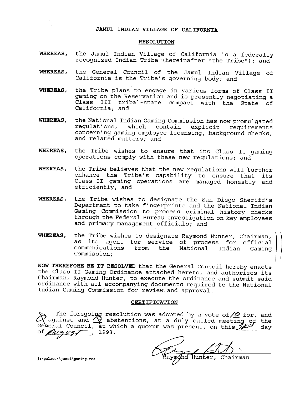#### **JAMUL INDIAN VILLAGE OF CALIFORNIA**

#### **RESOLUTION**

- **WHEREAS,** the Jamul Indian Village of California is a federally recognized Indian Tribe (hereinafter "the Tribe"); and
- **WHEREAS,** the General Council of the Jamul Indian Village of California is the Tribe's governing body; and
- **WHEREAS,** the Tribe plans to engage in various forms of Class 11 gaming on the Reservation and is presently negotiating a Class 111 tribal-state compact with the State of California; and
- **WHEREAS,** the National Indian Gaming Commission has now promulgated regulations, which contain explicit requirements concerning gaming employee licensing, background checks, and related matters; and
- **WHEREAS,** the Tribe wishes to ensure that its Class 11 gaming operations comply with these new regulations; and
- **WHEREAS,** the Tribe believes that the new regulations will 'further enhance the Tribe's capability to ensure that its Class I1 gaming operations are managed honestly and efficiently; and
- **WHEREAS,** the Tribe wishes to designate the San Diego Sheriff's Department to take fingerprints and the National Indian Gaming Commission to process criminal history checks through the Federal Bureau Investigation on key employees and primary management officials; and
- **WHEREAS,** the Tribe wishes to designate Raymond Hunter, chairman, \ as its agent for service of process for official communications from the National Indian Gaming Commission;

**NOW THEREFORE BE IT RESOLVED** that the General Council hereby enacts the Class I1 Gaming Ordinance attached hereto, and authorizes its Chairman, Raymond Hunter, to execute the ordinance and submit said ordinance with a11 accompanying documents required to the National Indian Gaming Commission for review.and approval.

### **CERTIFICATION**

The foregoing resolution was adopted by a vote of  $\angle$  for, and abstentions, at a duly called meeting of the<br>t which a quorum was present, on this  $\frac{1}{\sqrt{2}}$  day of August , 1993. al Counc

', j:\palace\\jamul\gaming.res **unter, Chairman**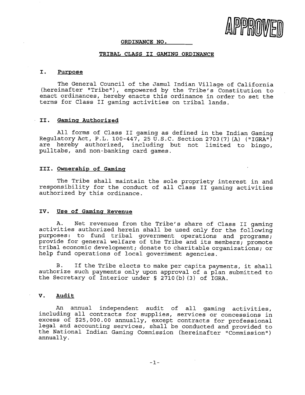

#### **ORDINANCE NO.**

#### **TRIBAL CLASS I1 GAMING ORDINANCE**

## **I. Purpose**

The General Council of the Jamul Indian Village of California (hereinafter "Tribe"), empowered by the Tribe's Constitution to enact ordinances, hereby enacts this ordinance in order to set the terms for Class I1 gaming activities on tribal lands.

#### **11. Gamins Authorized**

All forms of Class I1 gaming as defined in the Indian Gaming Regulatory Act, P.L. 100-447, 25 U.S.C. Section 2703 (7) (A) ("IGRA") are hereby authorized, including but not limited to bingo, pulltabs, and non-banking card games.

#### **111. Ownershiv of Gaminq**

The Tribe shall maintain the sole propriety interest in and responsibility for the conduct of all Class I1 gaming activities authorized by this ordinance.

# IV. Use of Gaming Revenue

A. Net revenues from the Tribe's share of Class I1 gaming activities authorized herein shall be used only for the following purposes: to fund tribal government operations and programs; provide for general welfare of the Tribe and its members; promote tribal economic development; donate to charitable organizations; or help fund operations of local government agencies.

**B.** If the Tribe elects to make per capita payments, it shall authorize such payments only upon approval of a plan submitted to the Secretary of Interior under **5** 2710(b) **(3)** of IGRA.

### **V. Audit**

An annual independent audit of all gaming activities, including all contracts for supplies, services or concessions in excess of \$25,000.00 annually, except contracts for professional legal and accounting services, shall be conducted and provided to the National Indian Gaming Commission (hereinafter "Commission") annually.

 $-1-$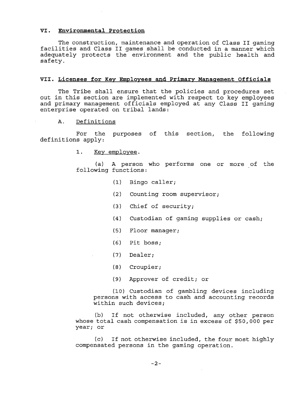# **VI. Environmental Protection**

The construction, maintenance and operation of Class **I1** gaming facilities and Class **I1** games shall be conducted in a manner which adequately protects the environment and the public health and safety.

#### VII. Licenses for Key Employees and Primary Management Officials

The Tribe shall ensure that the policies and procedures set out in this section are implemented with respect to key employees and primary management officials employed at any Class **I1** gaming enterprise operated on tribal lands:

### A. Definitions

For the purposes of this section, the following definitions apply:

1. Key employee.

(a) A person who performs one or more of the following functions:

- **(1)** Bingo caller;
- (2) Counting room supervisor;
- (3) Chief of security;
- (4) Custodian of gaming supplies or cash;
- **(5)** Floor manager;
- (6) Pit boss;
- (7) Dealer;
- (8) Croupier;
- (9) Approver of credit; or

(10) Custodian of gambling devices including persons with access to cash and accounting records within such devices;

(b) If not otherwise included, any other person whose total cash compensation is in excess of \$50,000 per year; or

**(c)** If not otherwise included, the four most highly compensated persons in the gaming operation.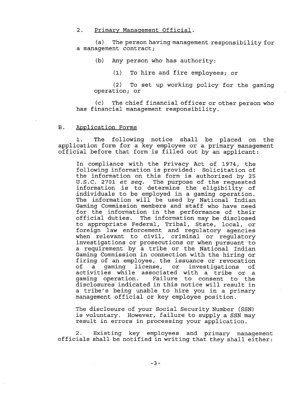2. Primary Management Official.

(a) The person having management responsibility for a management contract;

(b) Any person who has authority:

(1) To hire and fire employees; or

(2) To set up working policy for the gaming operation; or

(c) The chief financial officer or other person who has financial management responsibility.

# B. Application Forms

1. The following notice shall be placed on the application form for a key employee or a primary management official before that form is filled out by an applicant:

In compliance with the Privacy Act of 1974, the following information is provided: Solicitation of the information on this form is authorized by 25 U.S.C. 2701 et seq. The purpose of the requested information is to determine the eligibility of individuals to be employed in a gaming operation. The information will be used by National Indian Gaming Commission members and staff who have need for the information in the performance of their official duties. The information may be disclosed to appropriate Federal, Tribal, State, local, or foreign law enforcement and regulatory agencies when relevant to civil, criminal or requlatory investigations or prosecutions or when pursuant to a requirement by a tribe or the National Indian Gaming Commission in connection with the hiring or firing of an employee, the issuance or revocation<br>of a gaming license, or investigations of a gaming license, or activities while associated with a tribe or a Failure to consent to the disclosures indicated in this notice will result in a tribe's being unable to hire you in a primary management official or key employee position.

The disclosure of your Social Security Number (SSN) is voluntary. However, failure to supply a SSN may result in errors in processing your application.

2. Existing key employees and primary management officials shall be notified in writing that they shall either: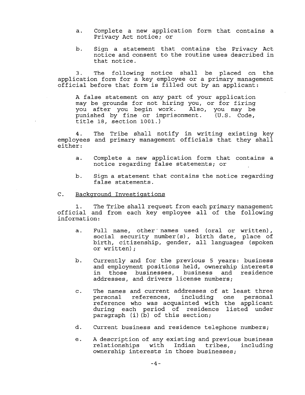- a. Complete a new application form that contains a Privacy Act notice; or
- b. Sign a statement that contains the Privacy Act notice and consent to the routine uses described in that notice.

3. The following notice shall be placed on the application form for a key employee or a primary management official before that form is filled out by an applicant:

A false statement on any part of your application may be grounds for not hiring you, or for firing you after you begin work. Also, you may be<br>punished by fine or imprisonment. (U.S. Code, punished by fine or imprisonment. title 18, section 1001.)

4. The Tribe shall notify in writing existing key employees and primary management officials that they shall either :

- a. Complete a new application form that contains a notice regarding false statements; or
- b. Sign a statement that contains the notice regarding false statements.

#### C. Background Investigations

**1.** The Tribe shall request from each primary management official and from each key employee all of the following information:

- a. Full name, other' names used (oral or written), social security number(s), birth date, place of birth, citizenship, gender, all languages (spoken or written) ;
- b. Currently and for the previous 5 years: business and employment positions held, ownership interests in those businesses, business and residence addresses, and drivers license numbers;
- c. The names and current addresses of at least three personal references, including one personal reference who was acquainted with the applicant during each period of residence listed under paragraph (i) (b) of this section;
- d. Current business and residence telephone numbers;
- e. A description of any existing and previous business with Indian tribes, ownership interests in those businesses;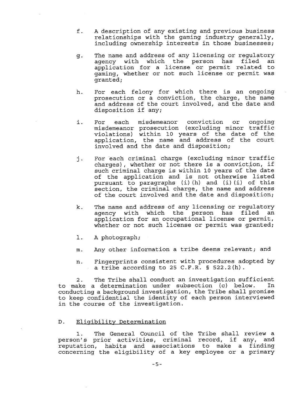- f. A description of any existing and previous business relationships with the gaming industry generally, including ownership interests in those businesses;
- The name and address of any licensing or regulatory<br>agency with which the person has filed an g. agency with which the person has filed application for a license or permit related to gaming, whether or not such license or permit was granted;
- h. For each felony for which there is an ongoing . prosecution or a conviction, the charge, the name and address of the court involved, and the date and disposition if any;
- i. For each misdemeanor conviction or ongoing misdemeanor prosecution (excluding minor traffic violations) within 10 years of the date of the application, the name and address of the court involved and the date and disposition;
- j. For each criminal charge (excluding minor traffic charges), whether or not there is a conviction, if such criminal charge is within 10 years of the date of the application and is not otherwise listed pursuant to paragraphs (i) (h) and (i) (i) of this section, the criminal charge, the name and address of the court involved and the date and disposition;
- k. The name and address of any licensing or regulatory agency with which the person has filed an application for an occupational license or permit, whether or not such license or permit was granted;
- 1. A photograph;
- m. Any other information a tribe deems relevant; and
- **n.** Fingerprints consistent with procedures adopted by a tribe according to 25 C.F.R. § 522.2(h).

2. The Tribe shall conduct an investigation sufficient<br>ake a determination under subsection (c) below. In to make a determination under subsection (c) below. conducting a background investigation, the Tribe shall promise to keep confidential the identity of each person interviewed in the course of the investigation.

# D. Eliqibilitv Determination

1. The General Council of the Tribe shall review a person's prior activities, criminal record, if any, and reputation, habits and associations to make a finding concerning the eligibility of a key employee or a primary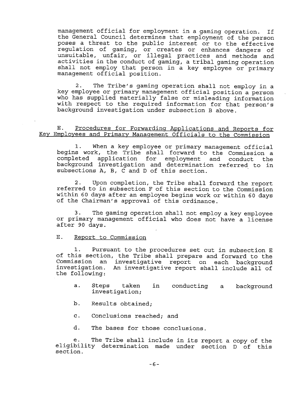management official for employment in a gaming operation. If the General Council determines that employment of the person poses a threat to the public interest or to the effective regulation of gaming, or creates or enhances dangers of unsuitable, unfair, or illegal practices and methods and activities in the conduct of gaming, a tribal gaming operation shall not employ that person in a key employee or primary management official position.

**2.** The Tribe's gaming operation shall not employ in a key employee or primary management official position a person who has supplied materially false or misleading information with respect to the required information for that person's background investigation under subsection B above.

# E. Procedures for Forwarding Applications and Reports for Kev Employees and primary Manaqement officials to the Commission

1. When a key employee or primary management official begins work, the Tribe shall forward to the Commission a completed application for employment and conduct the background investigation and determination referred to in subsections A, B, C and D of this section.

2. Upon completion, the Tribe shall forward the report referred to in subsection F of this section to the Commission within 60 days after an employee begins work or within 60 days of the Chairman's approval of this ordinance.

**3.** The gaming operation shall not employ a key employee or primary management official who does not have a license after 90 days.

# E. Report to Commission

1. Pursuant to the procedures set out in subsection E of this section, the Tribe shall prepare and forward to the Commission an investigative report on each background investigation. An investigative report shall include all of the following:

- a. Steps taken in conducting a background investigation;
- b. Results obtained;
- c. Conclusions reached; and
- d. The bases for those conclusions.

e. The Tribe shall include in its report a copy of the eligibility determination made under section D of this section.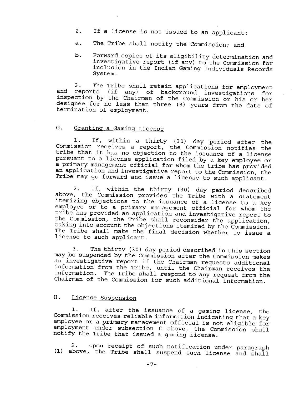- 2. If a license is not issued to an applicant:
- a. The Tribe shall notify the Commission; and
- b. Forward copies of its eligibility determination and investigative report (if any) to the Commission for inclusion in the Indian Gaming Individuals Records System.

**3.** The Tribe shall retain applications for employment and reports (if any) of background investigations for inspection by the Chairman of the Commission or his or her designee for no less than three (3) years from the date of termination of employment.

# G. Granting a Gaming License

1. If, within a thirty (30) day period after the Commission receives a report, the Commission notifies the tribe that it has no objection to the issuance of a license pursuant to a license application filed by a key employee or a primary management official for whom the tribe has provided an application and investigative report to the Commission, the Tribe may go forward and issue a license to such applicant.

2. If, within the thirty (30) day period described above, the Commission provides the Tribe with a statement itemizing objections to the issuance of a license to a key employee or to a primary management official for whom the tribe has provided an application and investigative report to the Commission, the Tribe shall reconsider the application, taking into account the objections itemized by the Commission. The Tribe shall make the final decision whether to issue a license to such applicant.

3. The thirty (30) day period described in this section may be suspended by the Commission after the Commission makes an investigative report if the Chairman requests additional information from the Tribe, until the Chaiman receives the information. The Tribe shall respond to any request from the Chairman of the Commission for such additional information.

# H. License Suspension

**1.** If, after the issuance of a gaming license, the Commission receives reliable information indicating that a key employee or a primary management official is not eligible for employment under subsection C above, the commission shall notify the Tribe that issued a gaming license.

**2.** Upon receipt of such notification under paragraph **(1)** above, the Tribe shall suspend such license and shall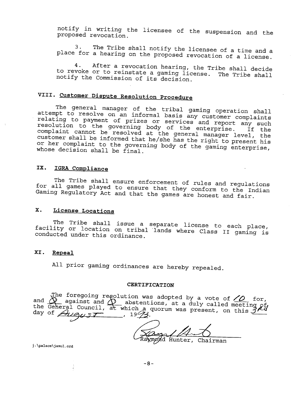notify in writing the licensee of the suspension and the proposed revocation.

**3.** The Tribe shall notify the licensee of a time and a place for a hearing on the proposed revocation of a license.

4. After a revocation hearing, the Tribe shall decide to revoke or to reinstate a gaming license. The Tribe shall notify the Commission of its decision.

# **VIII. Customer Dispute Resolution Procedure**

The general manager of the tribal gaming operation shall attempt to resolve on an informal basis any customer complaints relating to payment of prizes or services and report any such resolution to the governing body of the enterprise. If the complaint cannot be resolved at the general manager level, the customer shall be informed that he/she has the right to present his or her complaint to the governing body of the gaming enterprise, whose decision shall be final.

# **IX. IGRA Compliance**

The Tribe shall ensure enforcement of rules and regulations for all games played to ensure that they conform to the Indian Gaming Regulatory Act and that the games are honest and fair.

# **X. License Locations**

The Tribe shall issue a separate license to each place, facility or location on tribal 'lands where Class **I1** gaming is conducted under this ordinance.

# **XI. Repeal**

All prior gaming ordinances are hereby repealed.

#### **CERTIFICATION**

 $\mathbf{H}^{\mathbf{d}}$ he G day of  $A\nu9\nu3\nu2\n...$ , 19 $43$ . The foregoing regolution was adopted by a vote of  $\angle O$  for, gainst and  $\Phi$  abstentions, at a duly called meeting ouncil, at which a quorum was present, on this  $2^{5}$ 

Raymond Hunter, Chairman

**j :\palace\ jamul** . **ord**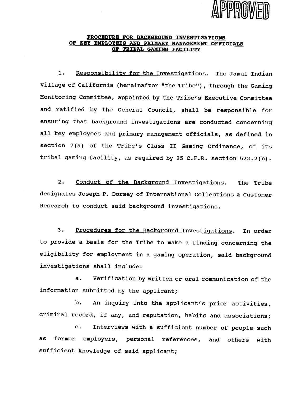

# **PROCEDURE FOR BACKGROUND INVESTIGATIONS OF KEY EMPLOYEES AND PRIMARY MANAGEMENT OFFICIALS OF TRIBAL GAMING FACILITY**

1. Responsibility for the Investigations. The Jamul Indian Village of California (hereinafter "the Tribe"), through the Gaming Monitoring Committee, appointed by the Tribe's Executive Committee and ratified by the General Council, shall be responsible for ensuring that background investigations are conducted concerning all key employees and primary management officials, as defined in section 7(a) of the Tribe's Class I1 Gaming Ordinance, of its tribal gaming facility, as required by 25 C.F.R. section 522.2 (b) .

2. Conduct of the Background Investigations. The Tribe designates Joseph P. Dorsey of International Collections & Customer Research to conduct said background investigations.

3. Procedures for the Background Investigations. In order to provide a basis for the Tribe to make a finding concerning the eligibility for employment in a gaming operation, said background investigations shall include:

a. Verification by written or oral communication of the information submitted by the applicant;

b. An inquiry into the applicant's prior activities, criminal record, if any, and reputation, habits and associations;

c. Interviews with a sufficient number of people such as former employers, personal references, and others with sufficient knowledge of said applicant;